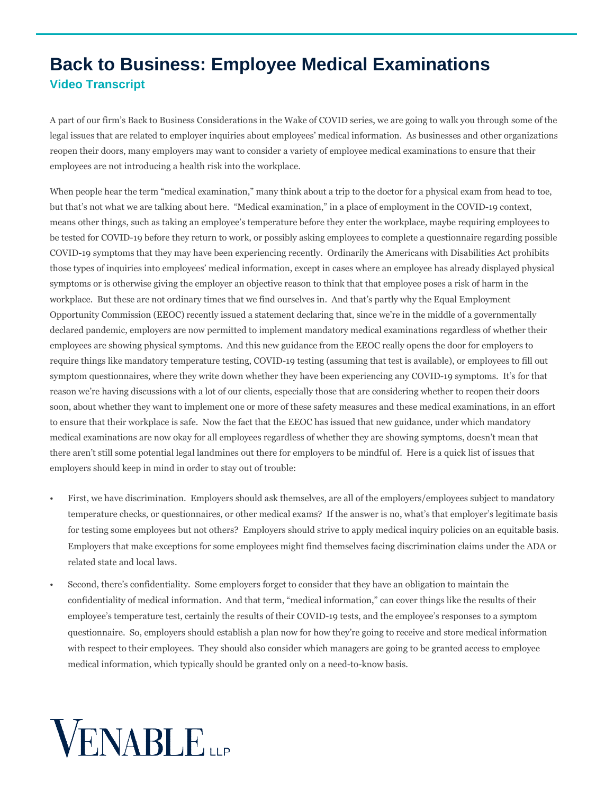## **Back to Business: Employee Medical Examinations Video Transcript**

A part of our firm's Back to Business Considerations in the Wake of COVID series, we are going to walk you through some of the legal issues that are related to employer inquiries about employees' medical information. As businesses and other organizations reopen their doors, many employers may want to consider a variety of employee medical examinations to ensure that their employees are not introducing a health risk into the workplace.

When people hear the term "medical examination," many think about a trip to the doctor for a physical exam from head to toe, but that's not what we are talking about here. "Medical examination," in a place of employment in the COVID-19 context, means other things, such as taking an employee's temperature before they enter the workplace, maybe requiring employees to be tested for COVID-19 before they return to work, or possibly asking employees to complete a questionnaire regarding possible COVID-19 symptoms that they may have been experiencing recently. Ordinarily the Americans with Disabilities Act prohibits those types of inquiries into employees' medical information, except in cases where an employee has already displayed physical symptoms or is otherwise giving the employer an objective reason to think that that employee poses a risk of harm in the workplace. But these are not ordinary times that we find ourselves in. And that's partly why the Equal Employment Opportunity Commission (EEOC) recently issued a statement declaring that, since we're in the middle of a governmentally declared pandemic, employers are now permitted to implement mandatory medical examinations regardless of whether their employees are showing physical symptoms. And this new guidance from the EEOC really opens the door for employers to require things like mandatory temperature testing, COVID-19 testing (assuming that test is available), or employees to fill out symptom questionnaires, where they write down whether they have been experiencing any COVID-19 symptoms. It's for that reason we're having discussions with a lot of our clients, especially those that are considering whether to reopen their doors soon, about whether they want to implement one or more of these safety measures and these medical examinations, in an effort to ensure that their workplace is safe. Now the fact that the EEOC has issued that new guidance, under which mandatory medical examinations are now okay for all employees regardless of whether they are showing symptoms, doesn't mean that there aren't still some potential legal landmines out there for employers to be mindful of. Here is a quick list of issues that employers should keep in mind in order to stay out of trouble:

- First, we have discrimination. Employers should ask themselves, are all of the employers/employees subject to mandatory temperature checks, or questionnaires, or other medical exams? If the answer is no, what's that employer's legitimate basis for testing some employees but not others? Employers should strive to apply medical inquiry policies on an equitable basis. Employers that make exceptions for some employees might find themselves facing discrimination claims under the ADA or related state and local laws.
- Second, there's confidentiality. Some employers forget to consider that they have an obligation to maintain the confidentiality of medical information. And that term, "medical information," can cover things like the results of their employee's temperature test, certainly the results of their COVID-19 tests, and the employee's responses to a symptom questionnaire. So, employers should establish a plan now for how they're going to receive and store medical information with respect to their employees. They should also consider which managers are going to be granted access to employee medical information, which typically should be granted only on a need-to-know basis.